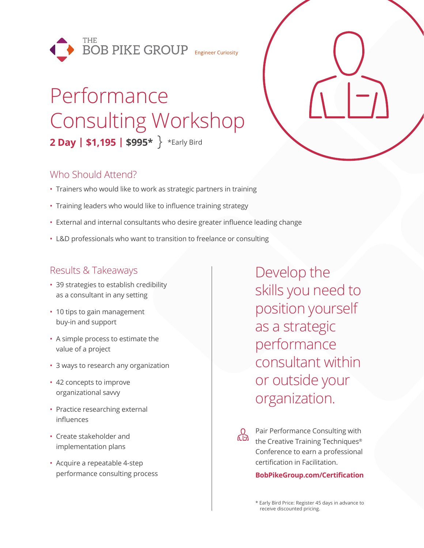

# Performance Consulting Workshop **2 Day | \$1,195 | \$995\*** \*Early Bird

# Who Should Attend?

- Trainers who would like to work as strategic partners in training
- Training leaders who would like to influence training strategy
- External and internal consultants who desire greater influence leading change
- L&D professionals who want to transition to freelance or consulting

# Results & Takeaways

- 39 strategies to establish credibility as a consultant in any setting
- 10 tips to gain management buy-in and support
- A simple process to estimate the value of a project
- 3 ways to research any organization
- 42 concepts to improve organizational savvy
- Practice researching external influences
- Create stakeholder and implementation plans
- Acquire a repeatable 4-step performance consulting process

Develop the skills you need to position yourself as a strategic performance consultant within or outside your organization.

<u>СЭ</u> Pair Performance Consulting with the Creative Training Techniques® Conference to earn a professional certification in Facilitation.

#### **BobPikeGroup.com/Certification**

\* Early Bird Price: Register 45 days in advance to receive discounted pricing.